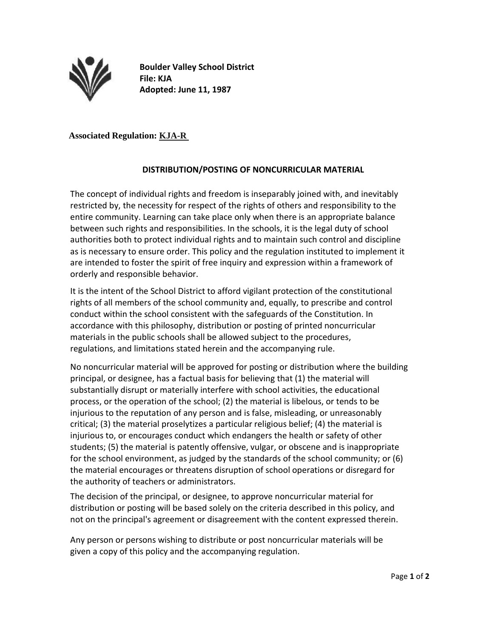

**Boulder Valley School District File: KJA Adopted: June 11, 1987** 

## **Associated Regulation: KJA-R**

## **DISTRIBUTION/POSTING OF NONCURRICULAR MATERIAL**

The concept of individual rights and freedom is inseparably joined with, and inevitably restricted by, the necessity for respect of the rights of others and responsibility to the entire community. Learning can take place only when there is an appropriate balance between such rights and responsibilities. In the schools, it is the legal duty of school authorities both to protect individual rights and to maintain such control and discipline as is necessary to ensure order. This policy and the regulation instituted to implement it are intended to foster the spirit of free inquiry and expression within a framework of orderly and responsible behavior.

It is the intent of the School District to afford vigilant protection of the constitutional rights of all members of the school community and, equally, to prescribe and control conduct within the school consistent with the safeguards of the Constitution. In accordance with this philosophy, distribution or posting of printed noncurricular materials in the public schools shall be allowed subject to the procedures, regulations, and limitations stated herein and the accompanying rule.

No noncurricular material will be approved for posting or distribution where the building principal, or designee, has a factual basis for believing that (1) the material will substantially disrupt or materially interfere with school activities, the educational process, or the operation of the school; (2) the material is libelous, or tends to be injurious to the reputation of any person and is false, misleading, or unreasonably critical; (3) the material proselytizes a particular religious belief; (4) the material is injurious to, or encourages conduct which endangers the health or safety of other students; (5) the material is patently offensive, vulgar, or obscene and is inappropriate for the school environment, as judged by the standards of the school community; or (6) the material encourages or threatens disruption of school operations or disregard for the authority of teachers or administrators.

The decision of the principal, or designee, to approve noncurricular material for distribution or posting will be based solely on the criteria described in this policy, and not on the principal's agreement or disagreement with the content expressed therein.

Any person or persons wishing to distribute or post noncurricular materials will be given a copy of this policy and the accompanying regulation.